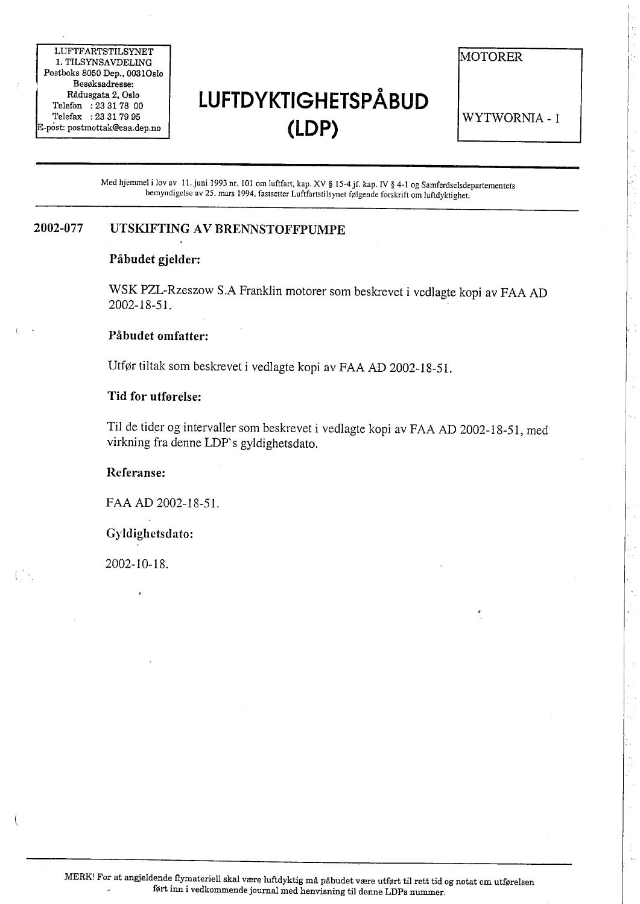LUFTFARTSTILSYNET 1. TILSYNSAVDELING Postboks 8050 Dep., 0031Osl0 Besøksadresse: Rådusgata 2, Oslo Telefon : 23 31 78 00 Telefax: 23 31 79 95  $E$ -p $\dot{\ }$ ost: postmottak@caa.dep.no

# LUFTDYKTIGHETSPÅBUD (LDP)

MOTORER

WYTWORNIA - 1

Med hjemmel i lov av I i. juni 1993 nr. 101 om luftfart, kap. XV § 15-4 jf. kap. iV § 4-1 og Samferdselsdepartementets bemyndigelse av 25. mars 1994, fastsetter Luftfartstilsynet følgende forskrift om luftdyktighet.

### 2002-077 UTSKIFTING AV BRENNSTOFFPUMPE

### Påbudet gjelder:

WSK PZL-Rzeszow S.A Franklin motorer som beskrevet i vedlagte kopi av FAA AD 2002-18-51.

### Påbudet omfatter:

Utfør tiltak som beskrevet i vedlagte kopi av FAA AD 2002-18-51.

### Tid for utførelse:

Til de tider og intervaller som beskrevet i vedlagte kopi av FAA AD 2002-18-51, med virkning fra denne LDP's gyldighetsdato.

#### Referanse:

FAA AD 2002-18-51.

Gyldighetsdato:

2002- 10- 1 8.

 $\overline{\phantom{0}}$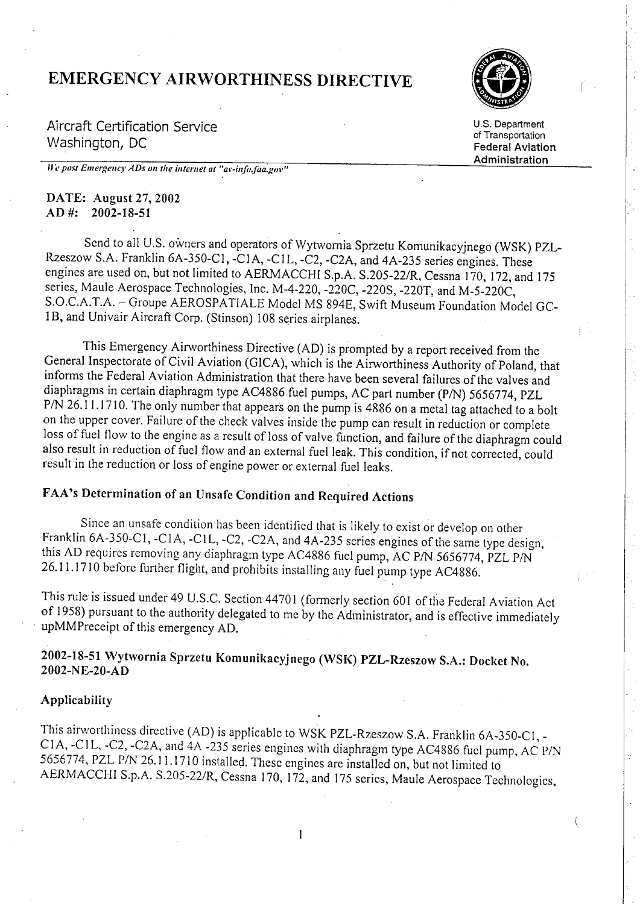# **EMERGENCY AIRWORTHINESS DIRECTIVE**



Aircraft Certification Service Washington, DC

U.S. Department of Transportation **Federal Aviation** Administration

We post Emergency ADs on the internet at "av-info.faa.gov"

### DATE: August 27, 2002  $AD$  #: 2002-18-51

Send to all U.S. owners and operators of Wytwornia Sprzetu Komunikacyjnego (WSK) PZL-Rzeszow S.A. Franklin 6A-350-C1, -C1A, -C1L, -C2, -C2A, and 4A-235 series engines. These engines are used on, but not limited to AERMACCHI S.p.A. S.205-22/R, Cessna 170, 172, and 175 series, Maule Aerospace Technologies, Inc. M-4-220, -220C, -220S, -220T, and M-5-220C, S.O.C.A.T.A. - Groupe AEROSPATIALE Model MS 894E, Swift Museum Foundation Model GC-1B, and Univair Aircraft Corp. (Stinson) 108 series airplanes.

This Emergency Airworthiness Directive (AD) is prompted by a report received from the General Inspectorate of Civil Aviation (GICA), which is the Airworthiness Authority of Poland, that informs the Federal Aviation Administration that there have been several failures of the valves and diaphragms in certain diaphragm type AC4886 fuel pumps, AC part number (P/N) 5656774, PZL P/N 26.11.1710. The only number that appears on the pump is 4886 on a metal tag attached to a bolt on the upper cover. Failure of the check valves inside the pump can result in reduction or complete loss of fuel flow to the engine as a result of loss of valve function, and failure of the diaphragm could also result in reduction of fuel flow and an external fuel leak. This condition, if not corrected, could result in the reduction or loss of engine power or external fuel leaks.

## FAA's Determination of an Unsafe Condition and Required Actions

Since an unsafe condition has been identified that is likely to exist or develop on other Franklin 6A-350-C1, -C1A, -C1L, -C2, -C2A, and 4A-235 series engines of the same type design, this AD requires removing any diaphragm type AC4886 fuel pump, AC P/N 5656774, PZL P/N 26.11.1710 before further flight, and prohibits installing any fuel pump type AC4886.

This rule is issued under 49 U.S.C. Section 44701 (formerly section 601 of the Federal Aviation Act of 1958) pursuant to the authority delegated to me by the Administrator, and is effective immediately upMMPreceipt of this emergency AD.

### 2002-18-51 Wytwornia Sprzetu Komunikacyjnego (WSK) PZL-Rzeszow S.A.: Docket No. 2002-NE-20-AD

#### Applicability

This airworthiness directive (AD) is applicable to WSK PZL-Rzeszow S.A. Franklin 6A-350-C1, -C1A, -C1L, -C2, -C2A, and 4A -235 series engines with diaphragm type AC4886 fuel pump, AC P/N 5656774, PZL P/N 26.11.1710 installed. These engines are installed on, but not limited to AERMACCHI S.p.A. S.205-22/R, Cessna 170, 172, and 175 series, Maule Aerospace Technologies,

1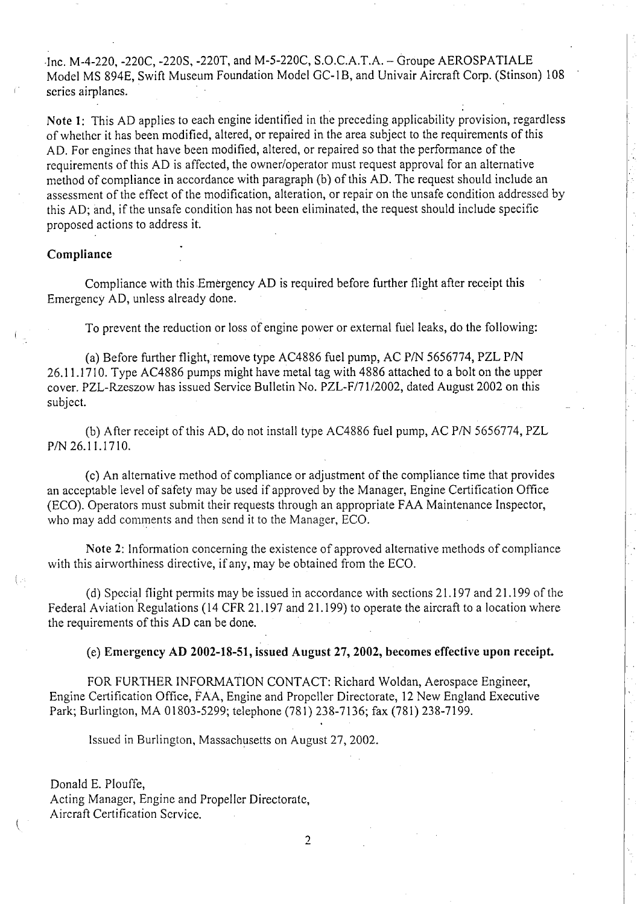.Inc. M-4-220, -220C, -220S, -220T, and M-5-220C, S.O.C.A.T.A. - Òroupe AEROSPA TIALE Model MS 894E, Swift Muscum Foundation Modcl GC-I B, and Univair Aircraft Corp. (Stinson) 108 series airplancs.

Note 1: This AD applies to each engine identified in the preceding applicability provision, regardless of whether it has been modified, altered, or repaired in the area subject to the requirements of this AD. For engines that have been modified, altered, or repaired so that the performanee of the requirements of this AD is affected, the owner/operator must request approval for an alternative method of compliance in accordance with paragraph (b) of this AD. The request should include an assessment of the effect of the modification, alteration, or repair on the unsafe condition addressed by this AD; and, ifthe unsafe condition has not been eliminated, the request shou1d include specific proposcd actions to address it.

### Compliance

Compliance with this Emergency AD is required before further flight after receipt this Emergency AD, unless already done.

To prevent the reduction or loss of engine power or external fuel leaks, do the following:

(a) Before further flight, remove type AC4886 fuel pump, AC P/N 5656774, PZL P/N 26.11.1710. Type AC4886 pumps might have metal tag with 4886 attached to a bolt on the upper cover. PZL-Rzcszow has issued Service Bulletin No. PZL-F/71/2002, dated August 2002 on this subject.

(b) After receipt of this AD, do not install type AC4886 fuel pump, AC P/N 5656774, PZL P/N 26.1 1.1710.

(c) An alternative method of compliance or adjustment of the compliance time that provides an acceptable level of safety may be used if approved by the Manager, Engine Certification Office (ECO). Operators must submit their requests through an appropriate F AA Maintenanee lnspector, who may add comments and then send it to the Manager, ECO.

Note 2: Information concerning the existence of approved alternative methods of compliance with this airworthiness directive, if any, may be obtained from the ECO.

(d) Spccial flight permits may be issued in aecordance with sections 21.197 and 21.199 of the Federal Aviation Regulations (14 CFR 21.197 and 21.199) to operate the aircraft to a location where the requirements of this AD can be done.

(e) Emergency AD 2002-18-51, issued August 27, 2002, becomes effective upon receipt.

FOR FURTHER INFORMATION CONTACT: Richard Woldan, Aerospace Engineer, Engine Certification Offce, FAA, Engine and Propeller Directorate, 12 New England Executive Park; Burlington, MA 01803-5299; telephone (781) 238-7136; fax (781) 238-7199.

Issued in Burlington, Massachusetts on August 27, 2002.

Donald E. Plouffe, Acting Manager, Engine and Propeller Directorate, Aircraft Certification Service.

(

 $\left( \begin{array}{c} \cdot \end{array} \right)$ 

2